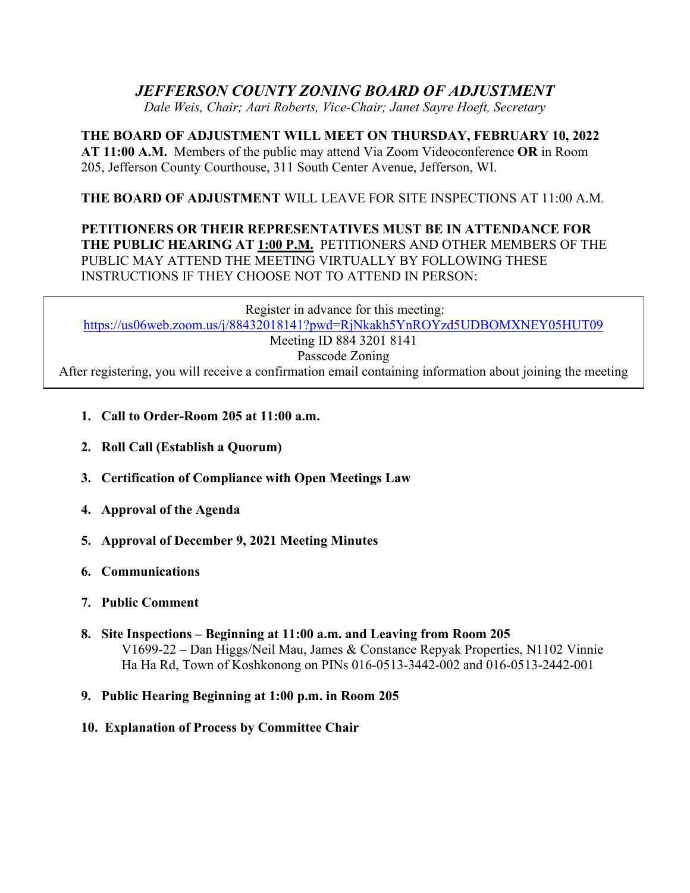# *JEFFERSON COUNTY ZONING BOARD OF ADJUSTMENT*

*Dale Weis, Chair; Aari Roberts, Vice-Chair; Janet Sayre Hoeft, Secretary*

**THE BOARD OF ADJUSTMENT WILL MEET ON THURSDAY, FEBRUARY 10, 2022 AT 11:00 A.M.** Members of the public may attend Via Zoom Videoconference **OR** in Room 205, Jefferson County Courthouse, 311 South Center Avenue, Jefferson, WI.

## **THE BOARD OF ADJUSTMENT** WILL LEAVE FOR SITE INSPECTIONS AT 11:00 A.M.

## **PETITIONERS OR THEIR REPRESENTATIVES MUST BE IN ATTENDANCE FOR THE PUBLIC HEARING AT 1:00 P.M.** PETITIONERS AND OTHER MEMBERS OF THE PUBLIC MAY ATTEND THE MEETING VIRTUALLY BY FOLLOWING THESE INSTRUCTIONS IF THEY CHOOSE NOT TO ATTEND IN PERSON:

Register in advance for this meeting: <https://us06web.zoom.us/j/88432018141?pwd=RjNkakh5YnROYzd5UDBOMXNEY05HUT09> Meeting ID 884 3201 8141 Passcode Zoning After registering, you will receive a confirmation email containing information about joining the meeting

- **1. Call to Order-Room 205 at 11:00 a.m.**
- **2. Roll Call (Establish a Quorum)**
- **3. Certification of Compliance with Open Meetings Law**
- **4. Approval of the Agenda**
- **5. Approval of December 9, 2021 Meeting Minutes**
- **6. Communications**
- **7. Public Comment**
- **8. Site Inspections – Beginning at 11:00 a.m. and Leaving from Room 205** V1699-22 – Dan Higgs/Neil Mau, James & Constance Repyak Properties, N1102 Vinnie Ha Ha Rd, Town of Koshkonong on PINs 016-0513-3442-002 and 016-0513-2442-001
- **9. Public Hearing Beginning at 1:00 p.m. in Room 205**
- **10. Explanation of Process by Committee Chair**